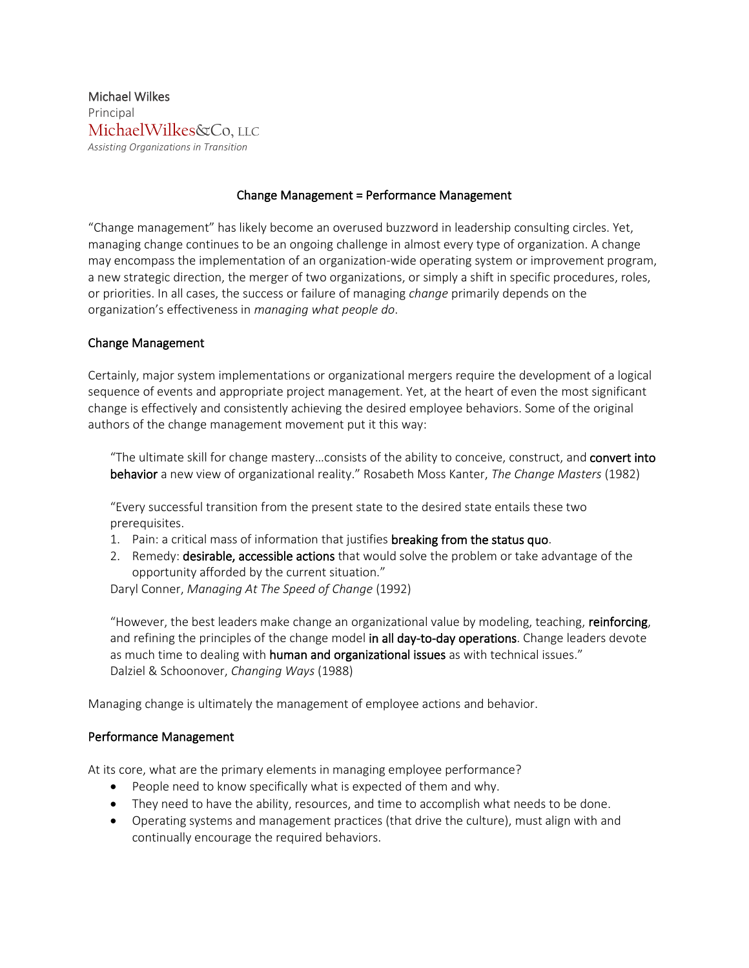Michael Wilkes Principal MichaelWilkes&Co, LLC *Assisting Organizations in Transition*

## Change Management = Performance Management

"Change management" has likely become an overused buzzword in leadership consulting circles. Yet, managing change continues to be an ongoing challenge in almost every type of organization. A change may encompass the implementation of an organization-wide operating system or improvement program, a new strategic direction, the merger of two organizations, or simply a shift in specific procedures, roles, or priorities. In all cases, the success or failure of managing *change* primarily depends on the organization's effectiveness in *managing what people do*.

## Change Management

Certainly, major system implementations or organizational mergers require the development of a logical sequence of events and appropriate project management. Yet, at the heart of even the most significant change is effectively and consistently achieving the desired employee behaviors. Some of the original authors of the change management movement put it this way:

"The ultimate skill for change mastery…consists of the ability to conceive, construct, and convert into behavior a new view of organizational reality." Rosabeth Moss Kanter, *The Change Masters* (1982)

"Every successful transition from the present state to the desired state entails these two prerequisites.

- 1. Pain: a critical mass of information that justifies breaking from the status quo.
- 2. Remedy: **desirable, accessible actions** that would solve the problem or take advantage of the opportunity afforded by the current situation."

Daryl Conner, *Managing At The Speed of Change* (1992)

"However, the best leaders make change an organizational value by modeling, teaching, reinforcing, and refining the principles of the change model in all day-to-day operations. Change leaders devote as much time to dealing with **human and organizational issues** as with technical issues." Dalziel & Schoonover, *Changing Ways* (1988)

Managing change is ultimately the management of employee actions and behavior.

## Performance Management

At its core, what are the primary elements in managing employee performance?

- People need to know specifically what is expected of them and why.
- They need to have the ability, resources, and time to accomplish what needs to be done.
- Operating systems and management practices (that drive the culture), must align with and continually encourage the required behaviors.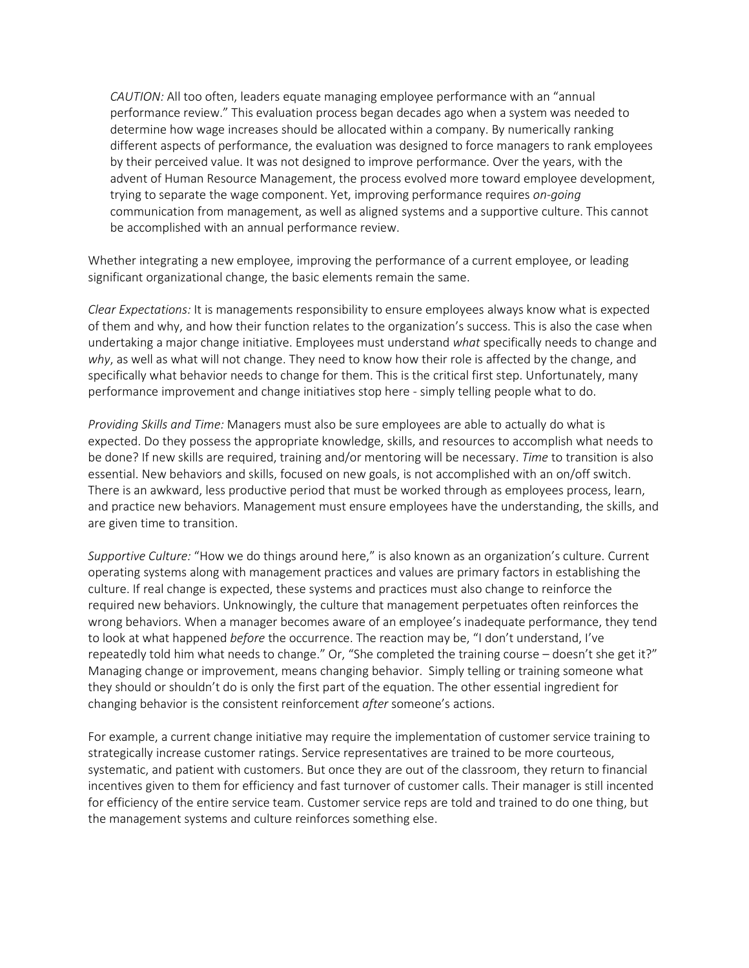*CAUTION:* All too often, leaders equate managing employee performance with an "annual performance review." This evaluation process began decades ago when a system was needed to determine how wage increases should be allocated within a company. By numerically ranking different aspects of performance, the evaluation was designed to force managers to rank employees by their perceived value. It was not designed to improve performance. Over the years, with the advent of Human Resource Management, the process evolved more toward employee development, trying to separate the wage component. Yet, improving performance requires *on-going* communication from management, as well as aligned systems and a supportive culture. This cannot be accomplished with an annual performance review.

Whether integrating a new employee, improving the performance of a current employee, or leading significant organizational change, the basic elements remain the same.

*Clear Expectations:* It is managements responsibility to ensure employees always know what is expected of them and why, and how their function relates to the organization's success. This is also the case when undertaking a major change initiative. Employees must understand *what* specifically needs to change and *why*, as well as what will not change. They need to know how their role is affected by the change, and specifically what behavior needs to change for them. This is the critical first step. Unfortunately, many performance improvement and change initiatives stop here - simply telling people what to do.

*Providing Skills and Time:* Managers must also be sure employees are able to actually do what is expected. Do they possess the appropriate knowledge, skills, and resources to accomplish what needs to be done? If new skills are required, training and/or mentoring will be necessary. *Time* to transition is also essential. New behaviors and skills, focused on new goals, is not accomplished with an on/off switch. There is an awkward, less productive period that must be worked through as employees process, learn, and practice new behaviors. Management must ensure employees have the understanding, the skills, and are given time to transition.

*Supportive Culture:* "How we do things around here," is also known as an organization's culture. Current operating systems along with management practices and values are primary factors in establishing the culture. If real change is expected, these systems and practices must also change to reinforce the required new behaviors. Unknowingly, the culture that management perpetuates often reinforces the wrong behaviors. When a manager becomes aware of an employee's inadequate performance, they tend to look at what happened *before* the occurrence. The reaction may be, "I don't understand, I've repeatedly told him what needs to change." Or, "She completed the training course – doesn't she get it?" Managing change or improvement, means changing behavior. Simply telling or training someone what they should or shouldn't do is only the first part of the equation. The other essential ingredient for changing behavior is the consistent reinforcement *after* someone's actions.

For example, a current change initiative may require the implementation of customer service training to strategically increase customer ratings. Service representatives are trained to be more courteous, systematic, and patient with customers. But once they are out of the classroom, they return to financial incentives given to them for efficiency and fast turnover of customer calls. Their manager is still incented for efficiency of the entire service team. Customer service reps are told and trained to do one thing, but the management systems and culture reinforces something else.